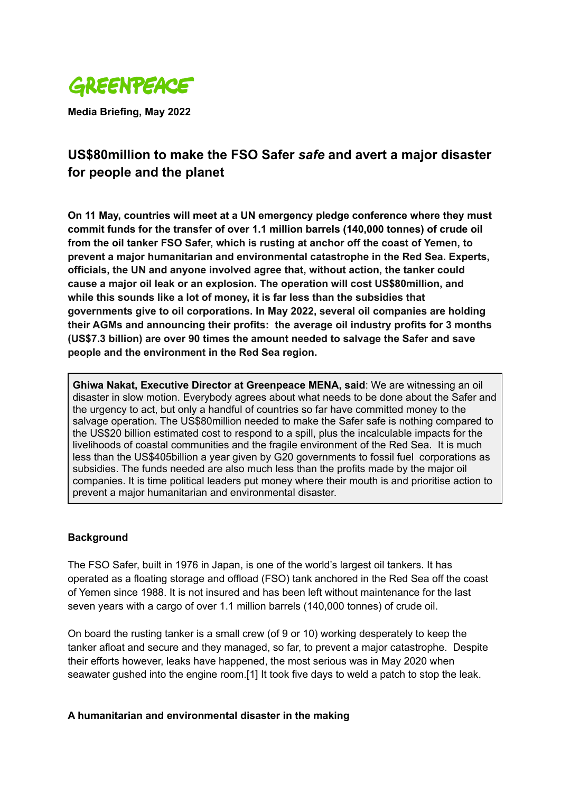

**Media Briefing, May 2022**

# **US\$80million to make the FSO Safer** *safe* **and avert a major disaster for people and the planet**

**On 11 May, countries will meet at a UN emergency pledge conference where they must commit funds for the transfer of over 1.1 million barrels (140,000 tonnes) of crude oil from the oil tanker FSO Safer, which is rusting at anchor off the coast of Yemen, to prevent a major humanitarian and environmental catastrophe in the Red Sea. Experts, officials, the UN and anyone involved agree that, without action, the tanker could cause a major oil leak or an explosion. The operation will cost US\$80million, and while this sounds like a lot of money, it is far less than the subsidies that governments give to oil corporations. In May 2022, several oil companies are holding their AGMs and announcing their profits: the average oil industry profits for 3 months (US\$7.3 billion) are over 90 times the amount needed to salvage the Safer and save people and the environment in the Red Sea region.**

**Ghiwa Nakat, Executive Director at Greenpeace MENA, said**: We are witnessing an oil disaster in slow motion. Everybody agrees about what needs to be done about the Safer and the urgency to act, but only a handful of countries so far have committed money to the salvage operation. The US\$80million needed to make the Safer safe is nothing compared to the US\$20 billion estimated cost to respond to a spill, plus the incalculable impacts for the livelihoods of coastal communities and the fragile environment of the Red Sea. It is much less than the US\$405billion a year given by G20 governments to fossil fuel corporations as subsidies. The funds needed are also much less than the profits made by the major oil companies. It is time political leaders put money where their mouth is and prioritise action to prevent a major humanitarian and environmental disaster.

#### **Background**

The FSO Safer, built in 1976 in Japan, is one of the world's largest oil tankers. It has operated as a floating storage and offload (FSO) tank anchored in the Red Sea off the coast of Yemen since 1988. It is not insured and has been left without maintenance for the last seven years with a cargo of over 1.1 million barrels (140,000 tonnes) of crude oil.

On board the rusting tanker is a small crew (of 9 or 10) working desperately to keep the tanker afloat and secure and they managed, so far, to prevent a major catastrophe. Despite their efforts however, leaks have happened, the most serious was in May 2020 when seawater gushed into the engine room.[1] It took five days to weld a patch to stop the leak.

#### **A humanitarian and environmental disaster in the making**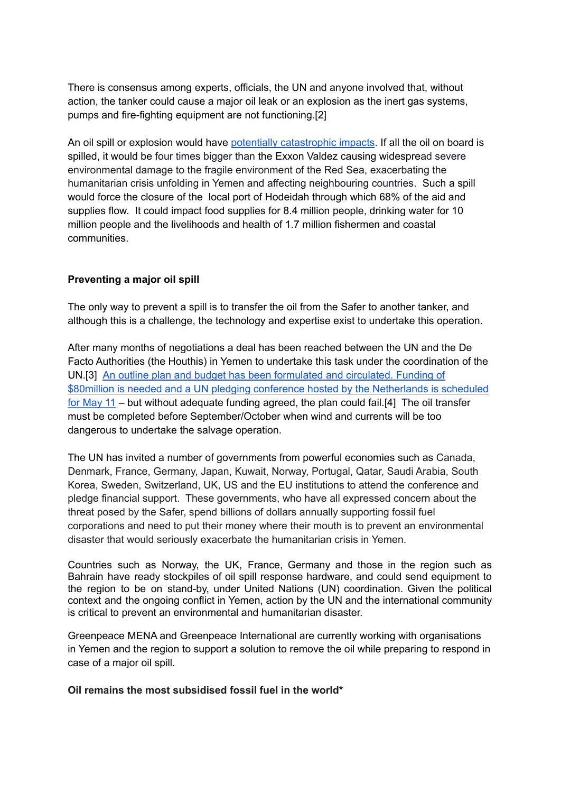There is consensus among experts, officials, the UN and anyone involved that, without action, the tanker could cause a major oil leak or an explosion as the inert gas systems, pumps and fire-fighting equipment are not functioning.[2]

An oil spill or explosion would have potentially [catastrophic](https://www.greenpeace.org/international/press-release/52094/fso-safer-tanker-could-trigger-major-oil-disaster-study-shows/) impacts. If all the oil on board is spilled, it would be four times bigger than the Exxon Valdez causing widespread severe environmental damage to the fragile environment of the Red Sea, exacerbating the humanitarian crisis unfolding in Yemen and affecting neighbouring countries. Such a spill would force the closure of the local port of Hodeidah through which 68% of the aid and supplies flow. It could impact food supplies for 8.4 million people, drinking water for 10 million people and the livelihoods and health of 1.7 million fishermen and coastal communities.

#### **Preventing a major oil spill**

The only way to prevent a spill is to transfer the oil from the Safer to another tanker, and although this is a challenge, the technology and expertise exist to undertake this operation.

After many months of negotiations a deal has been reached between the UN and the De Facto Authorities (the Houthis) in Yemen to undertake this task under the coordination of the UN.[3] An outline plan and budget has been [formulated](https://news.un.org/en/story/2022/04/1115932) and circulated. Funding of \$80million is needed and a UN pledging conference hosted by the [Netherlands](https://news.un.org/en/story/2022/04/1115932) is scheduled for [May](https://news.un.org/en/story/2022/04/1115932) 11 – but without adequate funding agreed, the plan could fail.[4] The oil transfer must be completed before September/October when wind and currents will be too dangerous to undertake the salvage operation.

The UN has invited a number of governments from powerful economies such as Canada, Denmark, France, Germany, Japan, Kuwait, Norway, Portugal, Qatar, Saudi Arabia, South Korea, Sweden, Switzerland, UK, US and the EU institutions to attend the conference and pledge financial support. These governments, who have all expressed concern about the threat posed by the Safer, spend billions of dollars annually supporting fossil fuel corporations and need to put their money where their mouth is to prevent an environmental disaster that would seriously exacerbate the humanitarian crisis in Yemen.

Countries such as Norway, the UK, France, Germany and those in the region such as Bahrain have ready stockpiles of oil spill response hardware, and could send equipment to the region to be on stand-by, under United Nations (UN) coordination. Given the political context and the ongoing conflict in Yemen, action by the UN and the international community is critical to prevent an environmental and humanitarian disaster.

Greenpeace MENA and Greenpeace International are currently working with organisations in Yemen and the region to support a solution to remove the oil while preparing to respond in case of a major oil spill.

**Oil remains the most subsidised fossil fuel in the world\***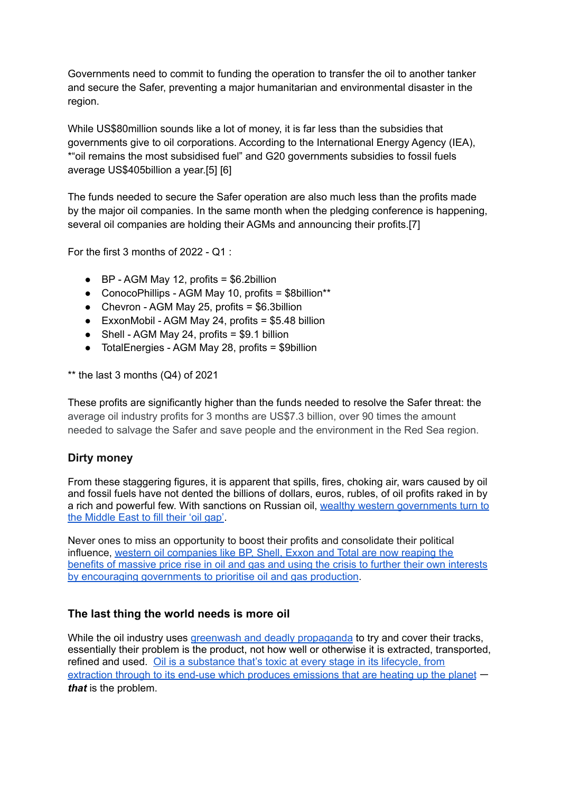Governments need to commit to funding the operation to transfer the oil to another tanker and secure the Safer, preventing a major humanitarian and environmental disaster in the region.

While US\$80million sounds like a lot of money, it is far less than the subsidies that governments give to oil corporations. According to the International Energy Agency (IEA), \*"oil remains the most subsidised fuel" and G20 governments subsidies to fossil fuels average US\$405billion a year.[5] [6]

The funds needed to secure the Safer operation are also much less than the profits made by the major oil companies. In the same month when the pledging conference is happening, several oil companies are holding their AGMs and announcing their profits.[7]

For the first 3 months of 2022 - Q1 :

- $\bullet$  BP AGM May 12, profits = \$6.2billion
- ConocoPhillips AGM May 10, profits = \$8billion\*\*
- Chevron AGM May 25, profits = \$6.3billion
- $\bullet$  ExxonMobil AGM May 24, profits = \$5.48 billion
- $\bullet$  Shell AGM May 24, profits = \$9.1 billion
- TotalEnergies AGM May 28, profits = \$9billion

 $**$  the last 3 months (Q4) of 2021

These profits are significantly higher than the funds needed to resolve the Safer threat: the average oil industry profits for 3 months are US\$7.3 billion, over 90 times the amount needed to salvage the Safer and save people and the environment in the Red Sea region.

## **Dirty money**

From these staggering figures, it is apparent that spills, fires, choking air, wars caused by oil and fossil fuels have not dented the billions of dollars, euros, rubles, of oil profits raked in by a rich and powerful few. With sanctions on Russian oil, wealthy western [governments](https://www.investmentmonitor.ai/sectors/energy/russian-oil-saudi-arabia-ukraine-energy) turn to the [Middle](https://www.investmentmonitor.ai/sectors/energy/russian-oil-saudi-arabia-ukraine-energy) East to fill their 'oil gap'.

Never ones to miss an opportunity to boost their profits and consolidate their political influence, western oil [companies](https://www.theguardian.com/environment/2022/mar/10/oil-and-gas-companies-are-looking-at-a-bonanza-from-the-ukraine-war?CMP=Share_AndroidApp_Other) like BP, Shell, Exxon and Total are now reaping the benefits of massive price rise in oil and gas and using the crisis to further their own [interests](https://www.theguardian.com/environment/2022/mar/10/oil-and-gas-companies-are-looking-at-a-bonanza-from-the-ukraine-war?CMP=Share_AndroidApp_Other) by encouraging [governments](https://www.theguardian.com/environment/2022/mar/10/oil-and-gas-companies-are-looking-at-a-bonanza-from-the-ukraine-war?CMP=Share_AndroidApp_Other) to prioritise oil and gas production.

## **The last thing the world needs is more oil**

While the oil industry uses greenwash and deadly [propaganda](https://www.greenpeace.org/international/story/49826/ban-fossil-fuel-ads-and-sponsorships/) to try and cover their tracks, essentially their problem is the product, not how well or otherwise it is extracted, transported, refined and used. Oil is a [substance](https://www.greenpeace.org/usa/fighting-climate-chaos/issues/oil/) that's toxic at every stage in its lifecycle, from extraction through to its end-use which produces [emissions](https://www.greenpeace.org/usa/fighting-climate-chaos/issues/oil/) that are heating up the planet – *that* is the problem.